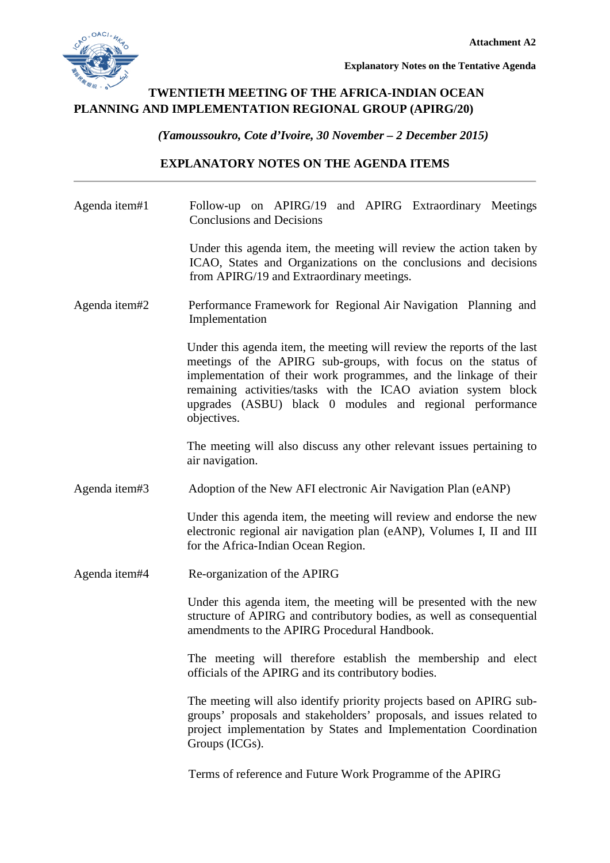

**Explanatory Notes on the Tentative Agenda** 

## **TWENTIETH MEETING OF THE AFRICA-INDIAN OCEAN PLANNING AND IMPLEMENTATION REGIONAL GROUP (APIRG/20)**

*(Yamoussoukro, Cote d'Ivoire, 30 November – 2 December 2015)*

## **EXPLANATORY NOTES ON THE AGENDA ITEMS**

| Agenda item#1 | Follow-up on APIRG/19 and APIRG Extraordinary Meetings<br><b>Conclusions and Decisions</b>                                                                                                                                                                                                                                                                 |
|---------------|------------------------------------------------------------------------------------------------------------------------------------------------------------------------------------------------------------------------------------------------------------------------------------------------------------------------------------------------------------|
|               | Under this agenda item, the meeting will review the action taken by<br>ICAO, States and Organizations on the conclusions and decisions<br>from APIRG/19 and Extraordinary meetings.                                                                                                                                                                        |
| Agenda item#2 | Performance Framework for Regional Air Navigation Planning and<br>Implementation                                                                                                                                                                                                                                                                           |
|               | Under this agenda item, the meeting will review the reports of the last<br>meetings of the APIRG sub-groups, with focus on the status of<br>implementation of their work programmes, and the linkage of their<br>remaining activities/tasks with the ICAO aviation system block<br>upgrades (ASBU) black 0 modules and regional performance<br>objectives. |
|               | The meeting will also discuss any other relevant issues pertaining to<br>air navigation.                                                                                                                                                                                                                                                                   |
| Agenda item#3 | Adoption of the New AFI electronic Air Navigation Plan (eANP)                                                                                                                                                                                                                                                                                              |
|               | Under this agenda item, the meeting will review and endorse the new<br>electronic regional air navigation plan (eANP), Volumes I, II and III<br>for the Africa-Indian Ocean Region.                                                                                                                                                                        |
| Agenda item#4 | Re-organization of the APIRG                                                                                                                                                                                                                                                                                                                               |
|               | Under this agenda item, the meeting will be presented with the new<br>structure of APIRG and contributory bodies, as well as consequential<br>amendments to the APIRG Procedural Handbook.                                                                                                                                                                 |
|               | The meeting will therefore establish the membership and elect<br>officials of the APIRG and its contributory bodies.                                                                                                                                                                                                                                       |
|               | The meeting will also identify priority projects based on APIRG sub-<br>groups' proposals and stakeholders' proposals, and issues related to<br>project implementation by States and Implementation Coordination<br>Groups (ICGs).                                                                                                                         |
|               | Terms of reference and Future Work Programme of the APIRG                                                                                                                                                                                                                                                                                                  |